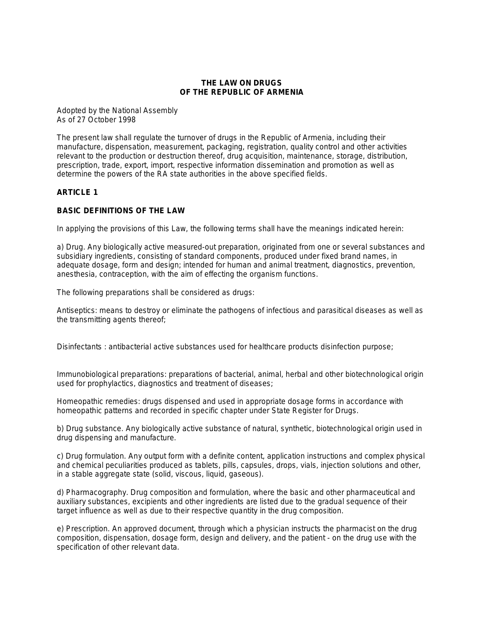#### **THE LAW ON DRUGS OF THE REPUBLIC OF ARMENIA**

Adopted by the National Assembly As of 27 October 1998

The present law shall regulate the turnover of drugs in the Republic of Armenia, including their manufacture, dispensation, measurement, packaging, registration, quality control and other activities relevant to the production or destruction thereof, drug acquisition, maintenance, storage, distribution, prescription, trade, export, import, respective information dissemination and promotion as well as determine the powers of the RA state authorities in the above specified fields.

# **ARTICLE 1**

# **BASIC DEFINITIONS OF THE LAW**

In applying the provisions of this Law, the following terms shall have the meanings indicated herein:

a) Drug. Any biologically active measured-out preparation, originated from one or several substances and subsidiary ingredients, consisting of standard components, produced under fixed brand names, in adequate dosage, form and design; intended for human and animal treatment, diagnostics, prevention, anesthesia, contraception, with the aim of effecting the organism functions.

The following preparations shall be considered as drugs:

Antiseptics: means to destroy or eliminate the pathogens of infectious and parasitical diseases as well as the transmitting agents thereof;

Disinfectants : antibacterial active substances used for healthcare products disinfection purpose;

Immunobiological preparations: preparations of bacterial, animal, herbal and other biotechnological origin used for prophylactics, diagnostics and treatment of diseases;

Homeopathic remedies: drugs dispensed and used in appropriate dosage forms in accordance with homeopathic patterns and recorded in specific chapter under State Register for Drugs.

b) Drug substance. Any biologically active substance of natural, synthetic, biotechnological origin used in drug dispensing and manufacture.

c) Drug formulation. Any output form with a definite content, application instructions and complex physical and chemical peculiarities produced as tablets, pills, capsules, drops, vials, injection solutions and other, in a stable aggregate state (solid, viscous, liquid, gaseous).

d) Pharmacography. Drug composition and formulation, where the basic and other pharmaceutical and auxiliary substances, excipients and other ingredients are listed due to the gradual sequence of their target influence as well as due to their respective quantity in the drug composition.

e) Prescription. An approved document, through which a physician instructs the pharmacist on the drug composition, dispensation, dosage form, design and delivery, and the patient - on the drug use with the specification of other relevant data.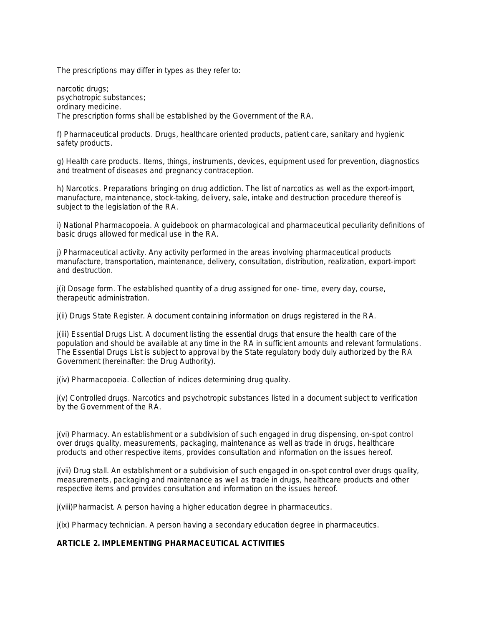The prescriptions may differ in types as they refer to:

narcotic drugs; psychotropic substances; ordinary medicine. The prescription forms shall be established by the Government of the RA.

f) Pharmaceutical products. Drugs, healthcare oriented products, patient care, sanitary and hygienic safety products.

g) Health care products. Items, things, instruments, devices, equipment used for prevention, diagnostics and treatment of diseases and pregnancy contraception.

h) Narcotics. Preparations bringing on drug addiction. The list of narcotics as well as the export-import, manufacture, maintenance, stock-taking, delivery, sale, intake and destruction procedure thereof is subject to the legislation of the RA.

i) National Pharmacopoeia. A guidebook on pharmacological and pharmaceutical peculiarity definitions of basic drugs allowed for medical use in the RA.

j) Pharmaceutical activity. Any activity performed in the areas involving pharmaceutical products manufacture, transportation, maintenance, delivery, consultation, distribution, realization, export-import and destruction.

j(i) Dosage form. The established quantity of a drug assigned for one- time, every day, course, therapeutic administration.

j(ii) Drugs State Register. A document containing information on drugs registered in the RA.

j(iii) Essential Drugs List. A document listing the essential drugs that ensure the health care of the population and should be available at any time in the RA in sufficient amounts and relevant formulations. The Essential Drugs List is subject to approval by the State regulatory body duly authorized by the RA Government (hereinafter: the Drug Authority).

j(iv) Pharmacopoeia. Collection of indices determining drug quality.

j(v) Controlled drugs. Narcotics and psychotropic substances listed in a document subject to verification by the Government of the RA.

j(vi) Pharmacy. An establishment or a subdivision of such engaged in drug dispensing, on-spot control over drugs quality, measurements, packaging, maintenance as well as trade in drugs, healthcare products and other respective items, provides consultation and information on the issues hereof.

j(vii) Drug stall. An establishment or a subdivision of such engaged in on-spot control over drugs quality, measurements, packaging and maintenance as well as trade in drugs, healthcare products and other respective items and provides consultation and information on the issues hereof.

j(viii)Pharmacist. A person having a higher education degree in pharmaceutics.

j(ix) Pharmacy technician. A person having a secondary education degree in pharmaceutics.

# **ARTICLE 2. IMPLEMENTING PHARMACEUTICAL ACTIVITIES**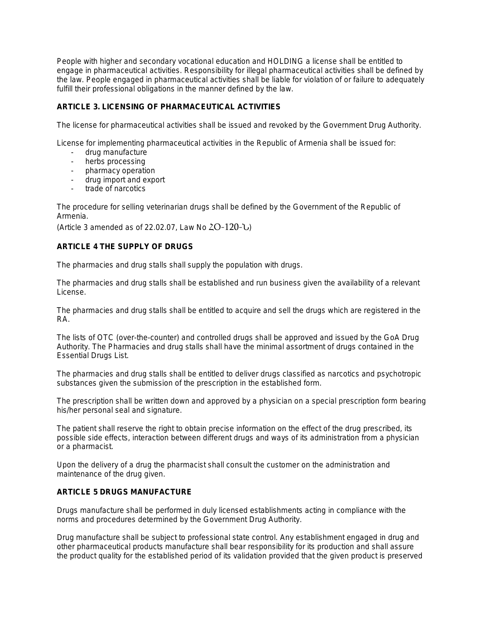People with higher and secondary vocational education and HOLDING a license shall be entitled to engage in pharmaceutical activities. Responsibility for illegal pharmaceutical activities shall be defined by the law. People engaged in pharmaceutical activities shall be liable for violation of or failure to adequately fulfill their professional obligations in the manner defined by the law.

# **ARTICLE 3. LICENSING OF PHARMACEUTICAL ACTIVITIES**

The license for pharmaceutical activities shall be issued and revoked by the Government Drug Authority.

License for implementing pharmaceutical activities in the Republic of Armenia shall be issued for:

- drug manufacture
- herbs processing
- pharmacy operation
- drug import and export
- trade of narcotics

The procedure for selling veterinarian drugs shall be defined by the Government of the Republic of Armenia.

(Article 3 amended as of 22.02.07, Law No  $\angle$ O-120-U)

# **ARTICLE 4 THE SUPPLY OF DRUGS**

The pharmacies and drug stalls shall supply the population with drugs.

The pharmacies and drug stalls shall be established and run business given the availability of a relevant License.

The pharmacies and drug stalls shall be entitled to acquire and sell the drugs which are registered in the RA.

The lists of OTC (over-the-counter) and controlled drugs shall be approved and issued by the GoA Drug Authority. The Pharmacies and drug stalls shall have the minimal assortment of drugs contained in the Essential Drugs List.

The pharmacies and drug stalls shall be entitled to deliver drugs classified as narcotics and psychotropic substances given the submission of the prescription in the established form.

The prescription shall be written down and approved by a physician on a special prescription form bearing his/her personal seal and signature.

The patient shall reserve the right to obtain precise information on the effect of the drug prescribed, its possible side effects, interaction between different drugs and ways of its administration from a physician or a pharmacist.

Upon the delivery of a drug the pharmacist shall consult the customer on the administration and maintenance of the drug given.

#### **ARTICLE 5 DRUGS MANUFACTURE**

Drugs manufacture shall be performed in duly licensed establishments acting in compliance with the norms and procedures determined by the Government Drug Authority.

Drug manufacture shall be subject to professional state control. Any establishment engaged in drug and other pharmaceutical products manufacture shall bear responsibility for its production and shall assure the product quality for the established period of its validation provided that the given product is preserved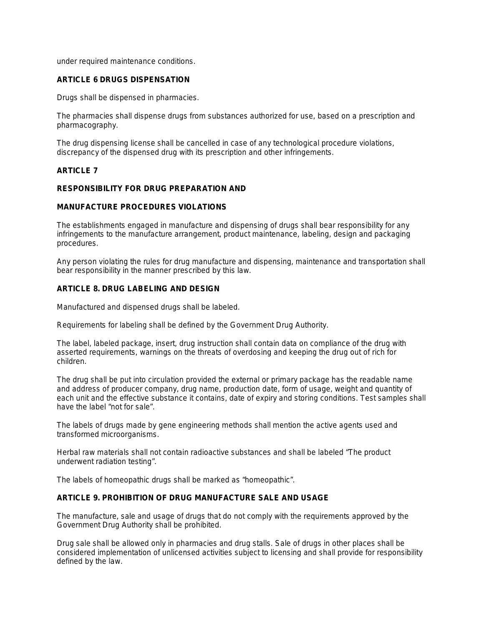under required maintenance conditions.

#### **ARTICLE 6 DRUGS DISPENSATION**

Drugs shall be dispensed in pharmacies.

The pharmacies shall dispense drugs from substances authorized for use, based on a prescription and pharmacography.

The drug dispensing license shall be cancelled in case of any technological procedure violations, discrepancy of the dispensed drug with its prescription and other infringements.

#### **ARTICLE 7**

#### **RESPONSIBILITY FOR DRUG PREPARATION AND**

#### **MANUFACTURE PROCEDURES VIOLATIONS**

The establishments engaged in manufacture and dispensing of drugs shall bear responsibility for any infringements to the manufacture arrangement, product maintenance, labeling, design and packaging procedures.

Any person violating the rules for drug manufacture and dispensing, maintenance and transportation shall bear responsibility in the manner prescribed by this law.

#### **ARTICLE 8. DRUG LABELING AND DESIGN**

Manufactured and dispensed drugs shall be labeled.

Requirements for labeling shall be defined by the Government Drug Authority.

The label, labeled package, insert, drug instruction shall contain data on compliance of the drug with asserted requirements, warnings on the threats of overdosing and keeping the drug out of rich for children.

The drug shall be put into circulation provided the external or primary package has the readable name and address of producer company, drug name, production date, form of usage, weight and quantity of each unit and the effective substance it contains, date of expiry and storing conditions. Test samples shall have the label "not for sale".

The labels of drugs made by gene engineering methods shall mention the active agents used and transformed microorganisms.

Herbal raw materials shall not contain radioactive substances and shall be labeled "The product underwent radiation testing".

The labels of homeopathic drugs shall be marked as "homeopathic".

# **ARTICLE 9. PROHIBITION OF DRUG MANUFACTURE SALE AND USAGE**

The manufacture, sale and usage of drugs that do not comply with the requirements approved by the Government Drug Authority shall be prohibited.

Drug sale shall be allowed only in pharmacies and drug stalls. Sale of drugs in other places shall be considered implementation of unlicensed activities subject to licensing and shall provide for responsibility defined by the law.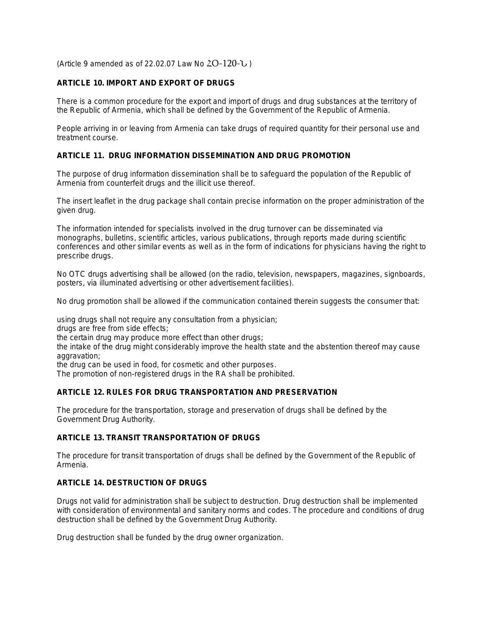(Article 9 amended as of 22.02.07 Law No  $2O-120$ -U)

# **ARTICLE 10. IMPORT AND EXPORT OF DRUGS**

There is a common procedure for the export and import of drugs and drug substances at the territory of the Republic of Armenia, which shall be defined by the Government of the Republic of Armenia.

People arriving in or leaving from Armenia can take drugs of required quantity for their personal use and treatment course.

#### **ARTICLE 11. DRUG INFORMATION DISSEMINATION AND DRUG PROMOTION**

The purpose of drug information dissemination shall be to safeguard the population of the Republic of Armenia from counterfeit drugs and the illicit use thereof.

The insert leaflet in the drug package shall contain precise information on the proper administration of the given drug.

The information intended for specialists involved in the drug turnover can be disseminated via monographs, bulletins, scientific articles, various publications, through reports made during scientific conferences and other similar events as well as in the form of indications for physicians having the right to prescribe drugs.

No OTC drugs advertising shall be allowed (on the radio, television, newspapers, magazines, signboards, posters, via illuminated advertising or other advertisement facilities).

No drug promotion shall be allowed if the communication contained therein suggests the consumer that:

using drugs shall not require any consultation from a physician;

drugs are free from side effects;

the certain drug may produce more effect than other drugs;

the intake of the drug might considerably improve the health state and the abstention thereof may cause aggravation;

the drug can be used in food, for cosmetic and other purposes.

The promotion of non-registered drugs in the RA shall be prohibited.

### **ARTICLE 12. RULES FOR DRUG TRANSPORTATION AND PRESERVATION**

The procedure for the transportation, storage and preservation of drugs shall be defined by the Government Drug Authority.

#### **ARTICLE 13. TRANSIT TRANSPORTATION OF DRUGS**

The procedure for transit transportation of drugs shall be defined by the Government of the Republic of Armenia.

# **ARTICLE 14. DESTRUCTION OF DRUGS**

Drugs not valid for administration shall be subject to destruction. Drug destruction shall be implemented with consideration of environmental and sanitary norms and codes. The procedure and conditions of drug destruction shall be defined by the Government Drug Authority.

Drug destruction shall be funded by the drug owner organization.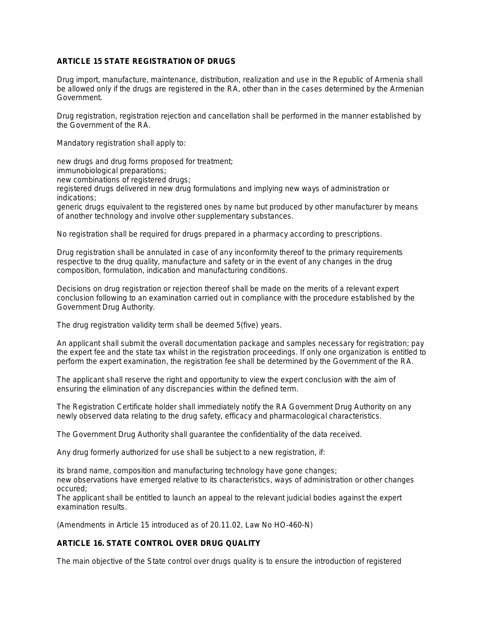# **ARTICLE 15 STATE REGISTRATION OF DRUGS**

Drug import, manufacture, maintenance, distribution, realization and use in the Republic of Armenia shall be allowed only if the drugs are registered in the RA, other than in the cases determined by the Armenian Government.

Drug registration, registration rejection and cancellation shall be performed in the manner established by the Government of the RA.

Mandatory registration shall apply to:

new drugs and drug forms proposed for treatment;

immunobiological preparations;

new combinations of registered drugs;

registered drugs delivered in new drug formulations and implying new ways of administration or indications;

generic drugs equivalent to the registered ones by name but produced by other manufacturer by means of another technology and involve other supplementary substances.

No registration shall be required for drugs prepared in a pharmacy according to prescriptions.

Drug registration shall be annulated in case of any inconformity thereof to the primary requirements respective to the drug quality, manufacture and safety or in the event of any changes in the drug composition, formulation, indication and manufacturing conditions.

Decisions on drug registration or rejection thereof shall be made on the merits of a relevant expert conclusion following to an examination carried out in compliance with the procedure established by the Government Drug Authority.

The drug registration validity term shall be deemed 5(five) years.

An applicant shall submit the overall documentation package and samples necessary for registration; pay the expert fee and the state tax whilst in the registration proceedings. If only one organization is entitled to perform the expert examination, the registration fee shall be determined by the Government of the RA.

The applicant shall reserve the right and opportunity to view the expert conclusion with the aim of ensuring the elimination of any discrepancies within the defined term.

The Registration Certificate holder shall immediately notify the RA Government Drug Authority on any newly observed data relating to the drug safety, efficacy and pharmacological characteristics.

The Government Drug Authority shall guarantee the confidentiality of the data received.

Any drug formerly authorized for use shall be subject to a new registration, if:

its brand name, composition and manufacturing technology have gone changes;

new observations have emerged relative to its characteristics, ways of administration or other changes occured;

The applicant shall be entitled to launch an appeal to the relevant judicial bodies against the expert examination results.

(Amendments in Article 15 introduced as of 20.11.02, Law No HO-460-N)

# **ARTICLE 16. STATE CONTROL OVER DRUG QUALITY**

The main objective of the State control over drugs quality is to ensure the introduction of registered